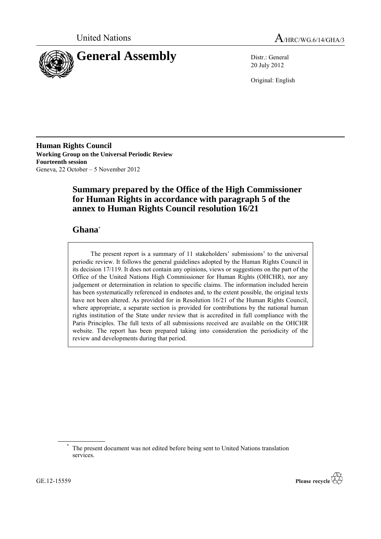



20 July 2012

Original: English

**Human Rights Council Working Group on the Universal Periodic Review Fourteenth session** Geneva, 22 October – 5 November 2012

# **Summary prepared by the Office of the High Commissioner for Human Rights in accordance with paragraph 5 of the annex to Human Rights Council resolution 16/21**

## **Ghana**\*

The present report is a summary of  $11$  stakeholders' submissions<sup>1</sup> to the universal periodic review. It follows the general guidelines adopted by the Human Rights Council in its decision 17/119. It does not contain any opinions, views or suggestions on the part of the Office of the United Nations High Commissioner for Human Rights (OHCHR), nor any judgement or determination in relation to specific claims. The information included herein has been systematically referenced in endnotes and, to the extent possible, the original texts have not been altered. As provided for in Resolution 16/21 of the Human Rights Council, where appropriate, a separate section is provided for contributions by the national human rights institution of the State under review that is accredited in full compliance with the Paris Principles. The full texts of all submissions received are available on the OHCHR website. The report has been prepared taking into consideration the periodicity of the review and developments during that period.



The present document was not edited before being sent to United Nations translation services.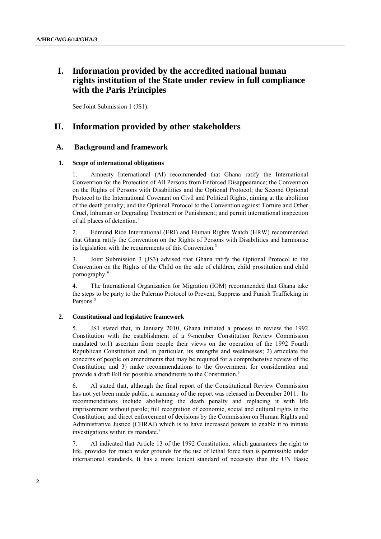## **I. Information provided by the accredited national human rights institution of the State under review in full compliance with the Paris Principles**

See Joint Submission 1 (JS1).

### **II. Information provided by other stakeholders**

### **A. Background and framework**

#### **1. Scope of international obligations**

1. Amnesty International (AI) recommended that Ghana ratify the International Convention for the Protection of All Persons from Enforced Disappearance; the Convention on the Rights of Persons with Disabilities and the Optional Protocol; the Second Optional Protocol to the International Covenant on Civil and Political Rights, aiming at the abolition of the death penalty; and the Optional Protocol to the Convention against Torture and Other Cruel, Inhuman or Degrading Treatment or Punishment; and permit international inspection of all places of detention.<sup>2</sup>

2. Edmund Rice International (ERI) and Human Rights Watch (HRW) recommended that Ghana ratify the Convention on the Rights of Persons with Disabilities and harmonise its legislation with the requirements of this Convention.<sup>3</sup>

3. Joint Submission 3 (JS3) advised that Ghana ratify the Optional Protocol to the Convention on the Rights of the Child on the sale of children, child prostitution and child pornography. 4

4. The International Organization for Migration (IOM) recommended that Ghana take the steps to be party to the Palermo Protocol to Prevent, Suppress and Punish Trafficking in Persons.<sup>5</sup>

#### **2. Constitutional and legislative framework**

5. JS1 stated that, in January 2010, Ghana initiated a process to review the 1992 Constitution with the establishment of a 9-member Constitution Review Commission mandated to:1) ascertain from people their views on the operation of the 1992 Fourth Republican Constitution and, in particular, its strengths and weaknesses; 2) articulate the concerns of people on amendments that may be required for a comprehensive review of the Constitution; and 3) make recommendations to the Government for consideration and provide a draft Bill for possible amendments to the Constitution.<sup>6</sup>

6. AI stated that, although the final report of the Constitutional Review Commission has not yet been made public, a summary of the report was released in December 2011. Its recommendations include abolishing the death penalty and replacing it with life imprisonment without parole; full recognition of economic, social and cultural rights in the Constitution; and direct enforcement of decisions by the Commission on Human Rights and Administrative Justice (CHRAJ) which is to have increased powers to enable it to initiate investigations within its mandate.<sup>7</sup>

7. AI indicated that Article 13 of the 1992 Constitution, which guarantees the right to life, provides for much wider grounds for the use of lethal force than is permissible under international standards. It has a more lenient standard of necessity than the UN Basic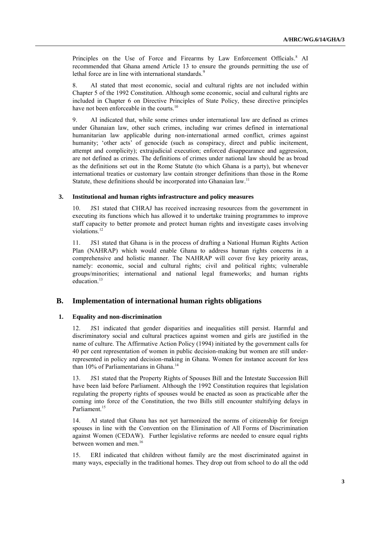Principles on the Use of Force and Firearms by Law Enforcement Officials.<sup>8</sup> AI recommended that Ghana amend Article 13 to ensure the grounds permitting the use of lethal force are in line with international standards.<sup>9</sup>

8. AI stated that most economic, social and cultural rights are not included within Chapter 5 of the 1992 Constitution. Although some economic, social and cultural rights are included in Chapter 6 on Directive Principles of State Policy, these directive principles have not been enforceable in the courts.<sup>10</sup>

9. AI indicated that, while some crimes under international law are defined as crimes under Ghanaian law, other such crimes, including war crimes defined in international humanitarian law applicable during non-international armed conflict, crimes against humanity; 'other acts' of genocide (such as conspiracy, direct and public incitement, attempt and complicity); extrajudicial execution; enforced disappearance and aggression, are not defined as crimes. The definitions of crimes under national law should be as broad as the definitions set out in the Rome Statute (to which Ghana is a party), but whenever international treaties or customary law contain stronger definitions than those in the Rome Statute, these definitions should be incorporated into Ghanaian law.<sup>11</sup>

#### **3. Institutional and human rights infrastructure and policy measures**

10. JS1 stated that CHRAJ has received increasing resources from the government in executing its functions which has allowed it to undertake training programmes to improve staff capacity to better promote and protect human rights and investigate cases involving violations.<sup>12</sup>

11. JS1 stated that Ghana is in the process of drafting a National Human Rights Action Plan (NAHRAP) which would enable Ghana to address human rights concerns in a comprehensive and holistic manner. The NAHRAP will cover five key priority areas, namely: economic, social and cultural rights; civil and political rights; vulnerable groups/minorities; international and national legal frameworks; and human rights education.<sup>13</sup>

### **B. Implementation of international human rights obligations**

### **1. Equality and non-discrimination**

12. JS1 indicated that gender disparities and inequalities still persist. Harmful and discriminatory social and cultural practices against women and girls are justified in the name of culture. The Affirmative Action Policy (1994) initiated by the government calls for 40 per cent representation of women in public decision-making but women are still underrepresented in policy and decision-making in Ghana. Women for instance account for less than 10% of Parliamentarians in Ghana.<sup>14</sup>

13. JS1 stated that the Property Rights of Spouses Bill and the Intestate Succession Bill have been laid before Parliament. Although the 1992 Constitution requires that legislation regulating the property rights of spouses would be enacted as soon as practicable after the coming into force of the Constitution, the two Bills still encounter stultifying delays in Parliament.<sup>15</sup>

14. AI stated that Ghana has not yet harmonized the norms of citizenship for foreign spouses in line with the Convention on the Elimination of All Forms of Discrimination against Women (CEDAW). Further legislative reforms are needed to ensure equal rights between women and men.<sup>16</sup>

15. ERI indicated that children without family are the most discriminated against in many ways, especially in the traditional homes. They drop out from school to do all the odd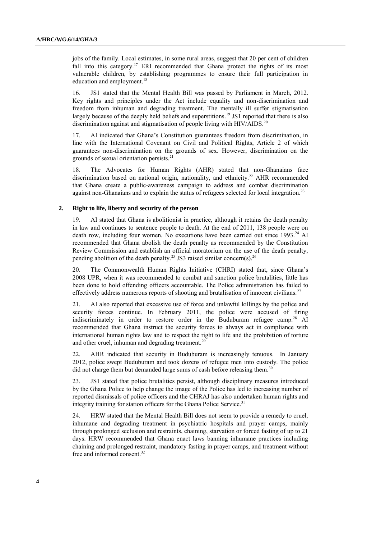jobs of the family. Local estimates, in some rural areas, suggest that 20 per cent of children fall into this category.<sup>17</sup> ERI recommended that Ghana protect the rights of its most vulnerable children, by establishing programmes to ensure their full participation in education and employment.<sup>18</sup>

16. JS1 stated that the Mental Health Bill was passed by Parliament in March, 2012. Key rights and principles under the Act include equality and non-discrimination and freedom from inhuman and degrading treatment. The mentally ill suffer stigmatisation largely because of the deeply held beliefs and superstitions.<sup>19</sup> JS1 reported that there is also discrimination against and stigmatisation of people living with HIV/AIDS.<sup>20</sup>

17. AI indicated that Ghana's Constitution guarantees freedom from discrimination, in line with the International Covenant on Civil and Political Rights, Article 2 of which guarantees non-discrimination on the grounds of sex. However, discrimination on the grounds of sexual orientation persists.<sup>21</sup>

18. The Advocates for Human Rights (AHR) stated that non-Ghanaians face discrimination based on national origin, nationality, and ethnicity.<sup>22</sup> AHR recommended that Ghana create a public-awareness campaign to address and combat discrimination against non-Ghanaians and to explain the status of refugees selected for local integration.<sup>23</sup>

#### **2. Right to life, liberty and security of the person**

19. AI stated that Ghana is abolitionist in practice, although it retains the death penalty in law and continues to sentence people to death. At the end of 2011, 138 people were on death row, including four women. No executions have been carried out since 1993.<sup>24</sup> AI recommended that Ghana abolish the death penalty as recommended by the Constitution Review Commission and establish an official moratorium on the use of the death penalty, pending abolition of the death penalty.<sup>25</sup> JS3 raised similar concern(s).<sup>26</sup>

20. The Commonwealth Human Rights Initiative (CHRI) stated that, since Ghana's 2008 UPR, when it was recommended to combat and sanction police brutalities, little has been done to hold offending officers accountable. The Police administration has failed to effectively address numerous reports of shooting and brutalisation of innocent civilians.<sup>27</sup>

21. AI also reported that excessive use of force and unlawful killings by the police and security forces continue. In February 2011, the police were accused of firing indiscriminately in order to restore order in the Buduburam refugee camp.<sup>28</sup> AI recommended that Ghana instruct the security forces to always act in compliance with international human rights law and to respect the right to life and the prohibition of torture and other cruel, inhuman and degrading treatment.<sup>29</sup>

22. AHR indicated that security in Buduburam is increasingly tenuous. In January 2012, police swept Buduburam and took dozens of refugee men into custody. The police did not charge them but demanded large sums of cash before releasing them.<sup>3</sup>

23. JS1 stated that police brutalities persist, although disciplinary measures introduced by the Ghana Police to help change the image of the Police has led to increasing number of reported dismissals of police officers and the CHRAJ has also undertaken human rights and integrity training for station officers for the Ghana Police Service.<sup>31</sup>

24. HRW stated that the Mental Health Bill does not seem to provide a remedy to cruel, inhumane and degrading treatment in psychiatric hospitals and prayer camps, mainly through prolonged seclusion and restraints, chaining, starvation or forced fasting of up to 21 days. HRW recommended that Ghana enact laws banning inhumane practices including chaining and prolonged restraint, mandatory fasting in prayer camps, and treatment without free and informed consent. 32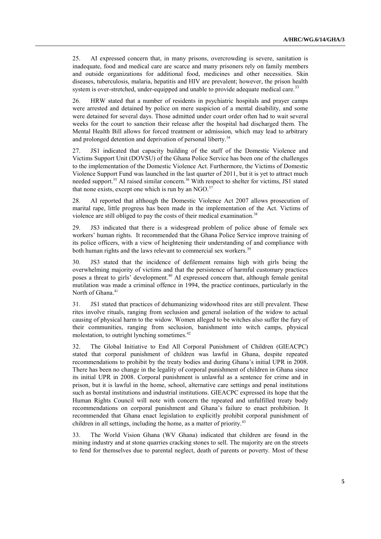25. AI expressed concern that, in many prisons, overcrowding is severe, sanitation is inadequate, food and medical care are scarce and many prisoners rely on family members and outside organizations for additional food, medicines and other necessities. Skin diseases, tuberculosis, malaria, hepatitis and HIV are prevalent; however, the prison health system is over-stretched, under-equipped and unable to provide adequate medical care.<sup>33</sup>

26. HRW stated that a number of residents in psychiatric hospitals and prayer camps were arrested and detained by police on mere suspicion of a mental disability, and some were detained for several days. Those admitted under court order often had to wait several weeks for the court to sanction their release after the hospital had discharged them. The Mental Health Bill allows for forced treatment or admission, which may lead to arbitrary and prolonged detention and deprivation of personal liberty.<sup>34</sup>

27. JS1 indicated that capacity building of the staff of the Domestic Violence and Victims Support Unit (DOVSU) of the Ghana Police Service has been one of the challenges to the implementation of the Domestic Violence Act. Furthermore, the Victims of Domestic Violence Support Fund was launched in the last quarter of 2011, but it is yet to attract much needed support.<sup>35</sup> AI raised similar concern.<sup>36</sup> With respect to shelter for victims, JS1 stated that none exists, except one which is run by an  $NGO$ <sup>37</sup>

28. AI reported that although the Domestic Violence Act 2007 allows prosecution of marital rape, little progress has been made in the implementation of the Act. Victims of violence are still obliged to pay the costs of their medical examination.<sup>38</sup>

29. JS3 indicated that there is a widespread problem of police abuse of female sex workers' human rights. It recommended that the Ghana Police Service improve training of its police officers, with a view of heightening their understanding of and compliance with both human rights and the laws relevant to commercial sex workers.<sup>39</sup>

30. JS3 stated that the incidence of defilement remains high with girls being the overwhelming majority of victims and that the persistence of harmful customary practices poses a threat to girls' development.<sup>40</sup> AI expressed concern that, although female genital mutilation was made a criminal offence in 1994, the practice continues, particularly in the North of Ghana.<sup>41</sup>

31. JS1 stated that practices of dehumanizing widowhood rites are still prevalent. These rites involve rituals, ranging from seclusion and general isolation of the widow to actual causing of physical harm to the widow. Women alleged to be witches also suffer the fury of their communities, ranging from seclusion, banishment into witch camps, physical molestation, to outright lynching sometimes.<sup>42</sup>

32. The Global Initiative to End All Corporal Punishment of Children (GIEACPC) stated that corporal punishment of children was lawful in Ghana, despite repeated recommendations to prohibit by the treaty bodies and during Ghana's initial UPR in 2008. There has been no change in the legality of corporal punishment of children in Ghana since its initial UPR in 2008. Corporal punishment is unlawful as a sentence for crime and in prison, but it is lawful in the home, school, alternative care settings and penal institutions such as borstal institutions and industrial institutions. GIEACPC expressed its hope that the Human Rights Council will note with concern the repeated and unfulfilled treaty body recommendations on corporal punishment and Ghana's failure to enact prohibition. It recommended that Ghana enact legislation to explicitly prohibit corporal punishment of children in all settings, including the home, as a matter of priority.<sup>43</sup>

33. The World Vision Ghana (WV Ghana) indicated that children are found in the mining industry and at stone quarries cracking stones to sell. The majority are on the streets to fend for themselves due to parental neglect, death of parents or poverty. Most of these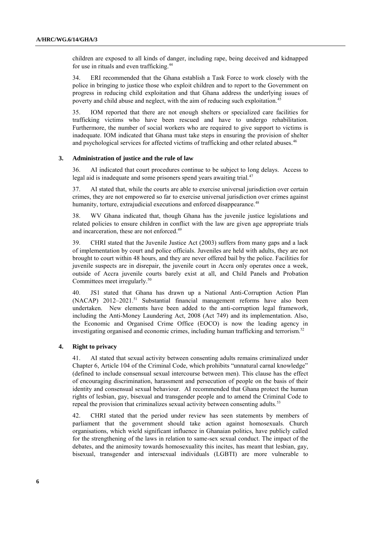children are exposed to all kinds of danger, including rape, being deceived and kidnapped for use in rituals and even trafficking.<sup>44</sup>

34. ERI recommended that the Ghana establish a Task Force to work closely with the police in bringing to justice those who exploit children and to report to the Government on progress in reducing child exploitation and that Ghana address the underlying issues of poverty and child abuse and neglect, with the aim of reducing such exploitation.<sup>45</sup>

35. IOM reported that there are not enough shelters or specialized care facilities for trafficking victims who have been rescued and have to undergo rehabilitation. Furthermore, the number of social workers who are required to give support to victims is inadequate. IOM indicated that Ghana must take steps in ensuring the provision of shelter and psychological services for affected victims of trafficking and other related abuses.<sup>46</sup>

#### **3. Administration of justice and the rule of law**

36. AI indicated that court procedures continue to be subject to long delays. Access to legal aid is inadequate and some prisoners spend years awaiting trial.<sup>47</sup>

37. AI stated that, while the courts are able to exercise universal jurisdiction over certain crimes, they are not empowered so far to exercise universal jurisdiction over crimes against humanity, torture, extrajudicial executions and enforced disappearance.<sup>48</sup>

38. WV Ghana indicated that, though Ghana has the juvenile justice legislations and related policies to ensure children in conflict with the law are given age appropriate trials and incarceration, these are not enforced.<sup>49</sup>

39. CHRI stated that the Juvenile Justice Act (2003) suffers from many gaps and a lack of implementation by court and police officials. Juveniles are held with adults, they are not brought to court within 48 hours, and they are never offered bail by the police. Facilities for juvenile suspects are in disrepair, the juvenile court in Accra only operates once a week, outside of Accra juvenile courts barely exist at all, and Child Panels and Probation Committees meet irregularly.<sup>50</sup>

40. JS1 stated that Ghana has drawn up a National Anti-Corruption Action Plan  $(NACAP)$  2012–2021.<sup>51</sup> Substantial financial management reforms have also been undertaken. New elements have been added to the anti-corruption legal framework, including the Anti-Money Laundering Act, 2008 (Act 749) and its implementation. Also, the Economic and Organised Crime Office (EOCO) is now the leading agency in investigating organised and economic crimes, including human trafficking and terrorism.<sup>52</sup>

#### **4. Right to privacy**

41. AI stated that sexual activity between consenting adults remains criminalized under Chapter 6, Article 104 of the Criminal Code, which prohibits "unnatural carnal knowledge" (defined to include consensual sexual intercourse between men). This clause has the effect of encouraging discrimination, harassment and persecution of people on the basis of their identity and consensual sexual behaviour. AI recommended that Ghana protect the human rights of lesbian, gay, bisexual and transgender people and to amend the Criminal Code to repeal the provision that criminalizes sexual activity between consenting adults.<sup>53</sup>

42. CHRI stated that the period under review has seen statements by members of parliament that the government should take action against homosexuals. Church organisations, which wield significant influence in Ghanaian politics, have publicly called for the strengthening of the laws in relation to same-sex sexual conduct. The impact of the debates, and the animosity towards homosexuality this incites, has meant that lesbian, gay, bisexual, transgender and intersexual individuals (LGBTI) are more vulnerable to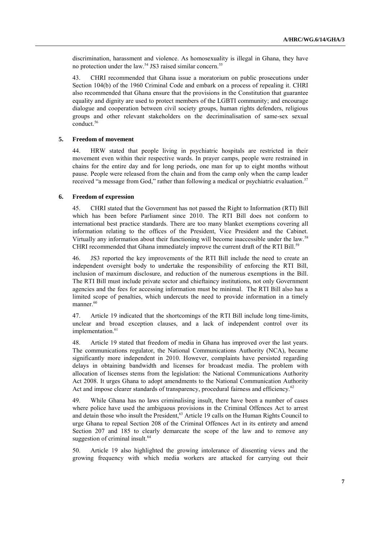discrimination, harassment and violence. As homosexuality is illegal in Ghana, they have no protection under the law.<sup>54</sup> JS3 raised similar concern.<sup>55</sup>

43. CHRI recommended that Ghana issue a moratorium on public prosecutions under Section 104(b) of the 1960 Criminal Code and embark on a process of repealing it. CHRI also recommended that Ghana ensure that the provisions in the Constitution that guarantee equality and dignity are used to protect members of the LGBTI community; and encourage dialogue and cooperation between civil society groups, human rights defenders, religious groups and other relevant stakeholders on the decriminalisation of same-sex sexual conduct.<sup>56</sup>

#### **5. Freedom of movement**

44. HRW stated that people living in psychiatric hospitals are restricted in their movement even within their respective wards. In prayer camps, people were restrained in chains for the entire day and for long periods, one man for up to eight months without pause. People were released from the chain and from the camp only when the camp leader received "a message from God," rather than following a medical or psychiatric evaluation.<sup>57</sup>

#### **6. Freedom of expression**

45. CHRI stated that the Government has not passed the Right to Information (RTI) Bill which has been before Parliament since 2010. The RTI Bill does not conform to international best practice standards. There are too many blanket exemptions covering all information relating to the offices of the President, Vice President and the Cabinet. Virtually any information about their functioning will become inaccessible under the law.<sup>58</sup> CHRI recommended that Ghana immediately improve the current draft of the RTI Bill.<sup>59</sup>

46. JS3 reported the key improvements of the RTI Bill include the need to create an independent oversight body to undertake the responsibility of enforcing the RTI Bill, inclusion of maximum disclosure, and reduction of the numerous exemptions in the Bill. The RTI Bill must include private sector and chieftaincy institutions, not only Government agencies and the fees for accessing information must be minimal. The RTI Bill also has a limited scope of penalties, which undercuts the need to provide information in a timely manner.<sup>60</sup>

47. Article 19 indicated that the shortcomings of the RTI Bill include long time-limits, unclear and broad exception clauses, and a lack of independent control over its implementation. 61

48. Article 19 stated that freedom of media in Ghana has improved over the last years. The communications regulator, the National Communications Authority (NCA), became significantly more independent in 2010. However, complaints have persisted regarding delays in obtaining bandwidth and licenses for broadcast media. The problem with allocation of licenses stems from the legislation: the National Communications Authority Act 2008. It urges Ghana to adopt amendments to the National Communication Authority Act and impose clearer standards of transparency, procedural fairness and efficiency.<sup>62</sup>

49. While Ghana has no laws criminalising insult, there have been a number of cases where police have used the ambiguous provisions in the Criminal Offences Act to arrest and detain those who insult the President,<sup>63</sup> Article 19 calls on the Human Rights Council to urge Ghana to repeal Section 208 of the Criminal Offences Act in its entirety and amend Section 207 and 185 to clearly demarcate the scope of the law and to remove any suggestion of criminal insult.<sup>64</sup>

50. Article 19 also highlighted the growing intolerance of dissenting views and the growing frequency with which media workers are attacked for carrying out their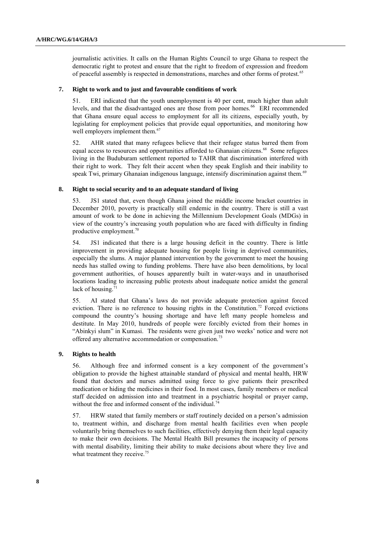journalistic activities. It calls on the Human Rights Council to urge Ghana to respect the democratic right to protest and ensure that the right to freedom of expression and freedom of peaceful assembly is respected in demonstrations, marches and other forms of protest.<sup>65</sup>

#### **7. Right to work and to just and favourable conditions of work**

51. ERI indicated that the youth unemployment is 40 per cent, much higher than adult levels, and that the disadvantaged ones are those from poor homes.<sup>66</sup> ERI recommended that Ghana ensure equal access to employment for all its citizens, especially youth, by legislating for employment policies that provide equal opportunities, and monitoring how well employers implement them.<sup>67</sup>

52. AHR stated that many refugees believe that their refugee status barred them from equal access to resources and opportunities afforded to Ghanaian citizens.<sup>68</sup> Some refugees living in the Buduburam settlement reported to TAHR that discrimination interfered with their right to work. They felt their accent when they speak English and their inability to speak Twi, primary Ghanaian indigenous language, intensify discrimination against them.<sup>69</sup>

#### **8. Right to social security and to an adequate standard of living**

53. JS1 stated that, even though Ghana joined the middle income bracket countries in December 2010, poverty is practically still endemic in the country. There is still a vast amount of work to be done in achieving the Millennium Development Goals (MDGs) in view of the country's increasing youth population who are faced with difficulty in finding productive employment.<sup>70</sup>

54. JS1 indicated that there is a large housing deficit in the country. There is little improvement in providing adequate housing for people living in deprived communities, especially the slums. A major planned intervention by the government to meet the housing needs has stalled owing to funding problems. There have also been demolitions, by local government authorities, of houses apparently built in water-ways and in unauthorised locations leading to increasing public protests about inadequate notice amidst the general lack of housing. $71$ 

55. AI stated that Ghana's laws do not provide adequate protection against forced eviction. There is no reference to housing rights in the Constitution.<sup>72</sup> Forced evictions compound the country's housing shortage and have left many people homeless and destitute. In May 2010, hundreds of people were forcibly evicted from their homes in "Abinkyi slum" in Kumasi. The residents were given just two weeks' notice and were not offered any alternative accommodation or compensation.<sup>73</sup>

### **9. Rights to health**

56. Although free and informed consent is a key component of the government's obligation to provide the highest attainable standard of physical and mental health, HRW found that doctors and nurses admitted using force to give patients their prescribed medication or hiding the medicines in their food. In most cases, family members or medical staff decided on admission into and treatment in a psychiatric hospital or prayer camp, without the free and informed consent of the individual.<sup>74</sup>

57. HRW stated that family members or staff routinely decided on a person's admission to, treatment within, and discharge from mental health facilities even when people voluntarily bring themselves to such facilities, effectively denying them their legal capacity to make their own decisions. The Mental Health Bill presumes the incapacity of persons with mental disability, limiting their ability to make decisions about where they live and what treatment they receive.<sup>75</sup>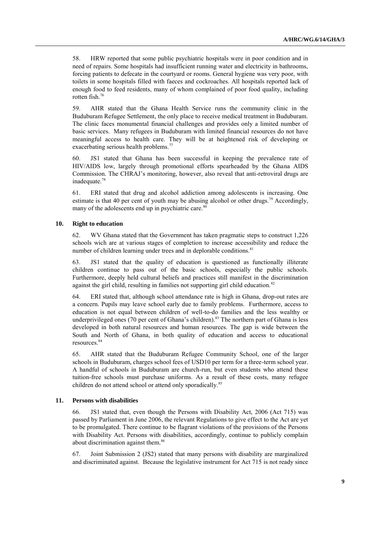58. HRW reported that some public psychiatric hospitals were in poor condition and in need of repairs. Some hospitals had insufficient running water and electricity in bathrooms, forcing patients to defecate in the courtyard or rooms. General hygiene was very poor, with toilets in some hospitals filled with faeces and cockroaches. All hospitals reported lack of enough food to feed residents, many of whom complained of poor food quality, including rotten fish.<sup>76</sup>

59. AHR stated that the Ghana Health Service runs the community clinic in the Buduburam Refugee Settlement, the only place to receive medical treatment in Buduburam. The clinic faces monumental financial challenges and provides only a limited number of basic services. Many refugees in Buduburam with limited financial resources do not have meaningful access to health care. They will be at heightened risk of developing or exacerbating serious health problems.<sup>77</sup>

60. JS1 stated that Ghana has been successful in keeping the prevalence rate of HIV/AIDS low, largely through promotional efforts spearheaded by the Ghana AIDS Commission. The CHRAJ's monitoring, however, also reveal that anti-retroviral drugs are inadequate.<sup>78</sup>

61. ERI stated that drug and alcohol addiction among adolescents is increasing. One estimate is that 40 per cent of youth may be abusing alcohol or other drugs.<sup>79</sup> Accordingly, many of the adolescents end up in psychiatric care.<sup>80</sup>

### **10. Right to education**

62. WV Ghana stated that the Government has taken pragmatic steps to construct 1,226 schools wich are at various stages of completion to increase accessibility and reduce the number of children learning under trees and in deplorable conditions.<sup>81</sup>

63. JS1 stated that the quality of education is questioned as functionally illiterate children continue to pass out of the basic schools, especially the public schools. Furthermore, deeply held cultural beliefs and practices still manifest in the discrimination against the girl child, resulting in families not supporting girl child education.<sup>82</sup>

64. ERI stated that, although school attendance rate is high in Ghana, drop-out rates are a concern. Pupils may leave school early due to family problems. Furthermore, access to education is not equal between children of well-to-do families and the less wealthy or underprivileged ones (70 per cent of Ghana's children).<sup>83</sup> The northern part of Ghana is less developed in both natural resources and human resources. The gap is wide between the South and North of Ghana, in both quality of education and access to educational resources.<sup>84</sup>

65. AHR stated that the Buduburam Refugee Community School, one of the larger schools in Buduburam, charges school fees of USD10 per term for a three-term school year. A handful of schools in Buduburam are church-run, but even students who attend these tuition-free schools must purchase uniforms. As a result of these costs, many refugee children do not attend school or attend only sporadically.<sup>85</sup>

#### **11. Persons with disabilities**

66. JS1 stated that, even though the Persons with Disability Act, 2006 (Act 715) was passed by Parliament in June 2006, the relevant Regulations to give effect to the Act are yet to be promulgated. There continue to be flagrant violations of the provisions of the Persons with Disability Act. Persons with disabilities, accordingly, continue to publicly complain about discrimination against them.<sup>86</sup>

67. Joint Submission 2 (JS2) stated that many persons with disability are marginalized and discriminated against. Because the legislative instrument for Act 715 is not ready since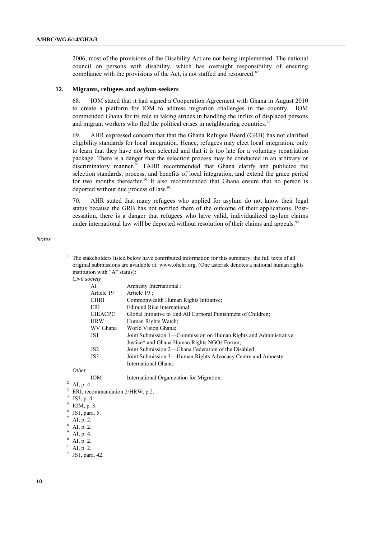2006, most of the provisions of the Disability Act are not being implemented. The national council on persons with disability, which has oversight responsibility of ensuring compliance with the provisions of the Act, is not staffed and resourced. $87$ 

#### **12. Migrants, refugees and asylum-seekers**

68. IOM stated that it had signed a Cooperation Agreement with Ghana in August 2010 to create a platform for IOM to address migration challenges in the country. IOM commended Ghana for its role in taking strides in handling the influx of displaced persons and migrant workers who fled the political crises in neighbouring countries.<sup>88</sup>

69. AHR expressed concern that that the Ghana Refugee Board (GRB) has not clarified eligibility standards for local integration. Hence, refugees may elect local integration, only to learn that they have not been selected and that it is too late for a voluntary repatriation package. There is a danger that the selection process may be conducted in an arbitrary or discriminatory manner.<sup>89</sup> TAHR recommended that Ghana clarify and publicize the selection standards, process, and benefits of local integration, and extend the grace period for two months thereafter.<sup>90</sup> It also recommended that Ghana ensure that no person is deported without due process of law.<sup>91</sup>

70. AHR stated that many refugees who applied for asylum do not know their legal status because the GRB has not notified them of the outcome of their applications. Postcessation, there is a danger that refugees who have valid, individualized asylum claims under international law will be deported without resolution of their claims and appeals.<sup>92</sup>

#### *Notes*

- <sup>1</sup> The stakeholders listed below have contributed information for this summary; the full texts of all original submissions are available at: [www.ohchr.org.](http://www.ohchr.org/) (One asterisk denotes a national human rights institution with "A" status):
	- *Civil society*

| AI              | Amnesty International:                                           |
|-----------------|------------------------------------------------------------------|
| Article 19      | Article 19:                                                      |
| <b>CHRI</b>     | Commonwealth Human Rights Initiative;                            |
| ERI             | Edmund Rice International:                                       |
| <b>GIEACPC</b>  | Global Initiative to End All Corporal Punishment of Children;    |
| <b>HRW</b>      | Human Rights Watch;                                              |
| WV Ghana        | World Vision Ghana;                                              |
| JS1             | Joint Submission 1—Commission on Human Rights and Administrative |
|                 | Justice* and Ghana Human Rights NGOs Forum;                      |
| JS <sub>2</sub> | Joint Submission 2—Ghana Federation of the Disabled.             |
| JS3             | Joint Submission 3—Human Rights Advocacy Centre and Amnesty      |
|                 | International Ghana.                                             |
|                 |                                                                  |

*Other*

IOM International Organization for Migration.

 $2$  AI, p. 4.

ERI, recommandation 2/HRW, p.2.

- 4 JS3, p. 4.
- 5 IOM, p. 3.
- 6 JS1, para. 5.
- $\frac{7}{8}$  AI, p. 2.
- AI, p. 2.
- 
- $^{9}$  AI, p. 4.
- $^{10}$  AI, p. 2. AI, p. 2.

<sup>12</sup> JS1, para. 42.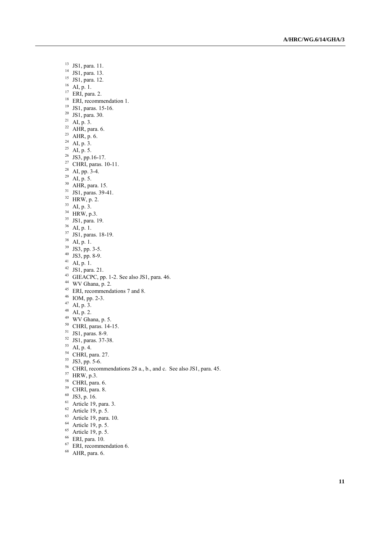- JS1, para. 11.
- JS1, para. 13.
- JS1, para. 12.
- $^{16}$  AI, p. 1.
- ERI, para. 2.
- ERI, recommendation 1.
- <sup>19</sup> JS1, paras. 15-16.
- JS1, para. 30.
- <sup>21</sup> AI, p. 3.
- AHR, para. 6.
- AHR, p. 6.
- $^{24}$  AI, p. 3.
- AI, p. 5.
- $^{26}$  JS3, pp.16-17.
- <sup>27</sup> CHRI, paras.  $10-11$ .
- $^{28}$  AI, pp. 3-4.
- AI, p. 5.
- AHR, para. 15.
- JS1, paras. 39-41.
- HRW, p. 2.
- AI, p. 3.
- 
- <sup>34</sup> HRW, p.3.
- JS1, para. 19.
- $^{36}\,$  AI, p. 1.
- JS1, paras. 18-19.
- $^{38}\,$  AI, p. 1.
- JS3, pp. 3-5.
- JS3, pp. 8-9.
- AI, p. 1.
- 42 JS1, para. 21.
- GIEACPC, pp. 1-2. See also JS1, para. 46.
- WV Ghana, p. 2.
- ERI, recommendations 7 and 8.
- $^{46}$  IOM, pp. 2-3.
- AI, p. 3.
- AI, p. 2.
- WV Ghana, p. 5.
- <sup>50</sup> CHRI, paras. 14-15.
- <sup>51</sup> JS1, paras. 8-9.
- 
- JS1, paras. 37 -38.
- AI, p. 4.
- <sup>54</sup> CHRI, para. 27.
- JS3, pp. 5-6.
- CHRI, recommendations 28 a., b., and c. See also JS1, para. 45.
- HRW, p.3.
- <sup>58</sup> CHRI, para. 6.
- <sup>59</sup> CHRI, para. 8.
- JS3, p. 16.
- Article 19, para. 3.
- Article 19, p. 5.
- Article 19, para. 10.
- Article 19, p. 5.
- <sup>65</sup> Article 19, p. 5.
- ERI, para. 10.
- 
- ERI, recommendation 6.
- AHR, para. 6.